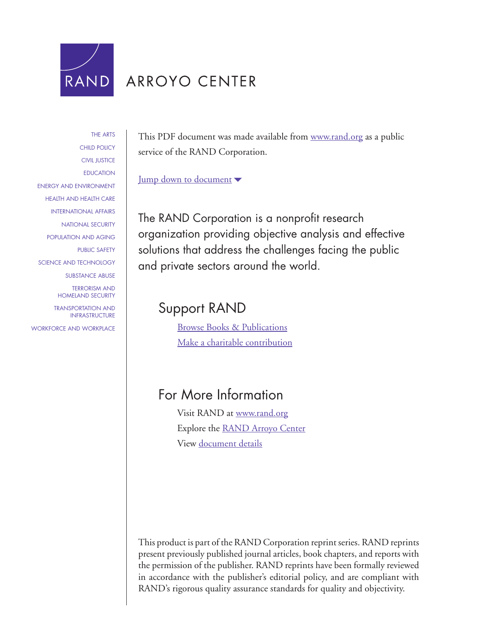

## ARROYO CENTER

[THE ARTS](http://www.rand.org/pdfrd/research_areas/arts/) [CHILD POLICY](http://www.rand.org/pdfrd/research_areas/children/) [CIVIL JUSTICE](http://www.rand.org/pdfrd/research_areas/civil_justice/) [EDUCATION](http://www.rand.org/pdfrd/research_areas/education/) [ENERGY AND ENVIRONMENT](http://www.rand.org/pdfrd/research_areas/energy_environment/) [HEALTH AND HEALTH CARE](http://www.rand.org/pdfrd/research_areas/health/) [INTERNATIONAL AFFAIRS](http://www.rand.org/pdfrd/research_areas/international_affairs/) [NATIONAL SECURITY](http://www.rand.org/pdfrd/research_areas/national_security/) [POPULATION AND AGING](http://www.rand.org/pdfrd/research_areas/population/) [PUBLIC SAFETY](http://www.rand.org/pdfrd/research_areas/public_safety/) [SCIENCE AND TECHNOLOGY](http://www.rand.org/pdfrd/research_areas/science_technology/) [SUBSTANCE ABUSE](http://www.rand.org/pdfrd/research_areas/substance_abuse/) [TERRORISM AND](http://www.rand.org/pdfrd/research_areas/terrorism/) [HOMELAND SECURITY](http://www.rand.org/pdfrd/research_areas/terrorism/) [TRANSPORTATION AND](http://www.rand.org/pdfrd/research_areas/infrastructure/) [INFRASTRUCTURE](http://www.rand.org/pdfrd/research_areas/infrastructure/) [WORKFORCE AND WORKPLACE](http://www.rand.org/pdfrd/research_areas/workforce/)

This PDF document was made available from [www.rand.org](http://www.rand.org/pdfrd/) as a public service of the RAND Corporation.

[Jump down to document](#page-1-0)  $\blacktriangledown$ 

The RAND Corporation is a nonprofit research organization providing objective analysis and effective solutions that address the challenges facing the public and private sectors around the world.

### Support RAND

[Browse Books & Publications](http://www.rand.org/pdfrd/pubs/online/) [Make a charitable contribution](http://www.rand.org/pdfrd/giving/contribute.html)

### For More Information

Visit RAND at [www.rand.org](http://www.rand.org/pdfrd/) Explore the [RAND Arroyo Center](http://www.rand.org/pdfrd/ard/) View [document details](http://www.rand.org/pdfrd/pubs/reprints/RP1271/)

This product is part of the RAND Corporation reprint series. RAND reprints present previously published journal articles, book chapters, and reports with the permission of the publisher. RAND reprints have been formally reviewed in accordance with the publisher's editorial policy, and are compliant with RAND's rigorous quality assurance standards for quality and objectivity.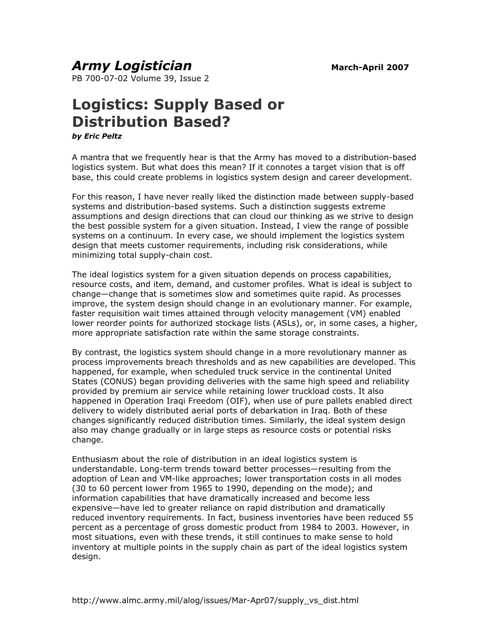#### <span id="page-1-0"></span>*Army Logistician* March-April 2007

PB 700-07-02 Volume 39, Issue 2

# **Logistics: Supply Based or Distribution Based?**

*by Eric Peltz* 

A mantra that we frequently hear is that the Army has moved to a distribution-based logistics system. But what does this mean? If it connotes a target vision that is off base, this could create problems in logistics system design and career development.

For this reason, I have never really liked the distinction made between supply-based systems and distribution-based systems. Such a distinction suggests extreme assumptions and design directions that can cloud our thinking as we strive to design the best possible system for a given situation. Instead, I view the range of possible systems on a continuum. In every case, we should implement the logistics system design that meets customer requirements, including risk considerations, while minimizing total supply-chain cost.

The ideal logistics system for a given situation depends on process capabilities, resource costs, and item, demand, and customer profiles. What is ideal is subject to change—change that is sometimes slow and sometimes quite rapid. As processes improve, the system design should change in an evolutionary manner. For example, faster requisition wait times attained through velocity management (VM) enabled lower reorder points for authorized stockage lists (ASLs), or, in some cases, a higher, more appropriate satisfaction rate within the same storage constraints.

By contrast, the logistics system should change in a more revolutionary manner as process improvements breach thresholds and as new capabilities are developed. This happened, for example, when scheduled truck service in the continental United States (CONUS) began providing deliveries with the same high speed and reliability provided by premium air service while retaining lower truckload costs. It also happened in Operation Iraqi Freedom (OIF), when use of pure pallets enabled direct delivery to widely distributed aerial ports of debarkation in Iraq. Both of these changes significantly reduced distribution times. Similarly, the ideal system design also may change gradually or in large steps as resource costs or potential risks change.

Enthusiasm about the role of distribution in an ideal logistics system is understandable. Long-term trends toward better processes—resulting from the adoption of Lean and VM-like approaches; lower transportation costs in all modes (30 to 60 percent lower from 1965 to 1990, depending on the mode); and information capabilities that have dramatically increased and become less expensive—have led to greater reliance on rapid distribution and dramatically reduced inventory requirements. In fact, business inventories have been reduced 55 percent as a percentage of gross domestic product from 1984 to 2003. However, in most situations, even with these trends, it still continues to make sense to hold inventory at multiple points in the supply chain as part of the ideal logistics system design.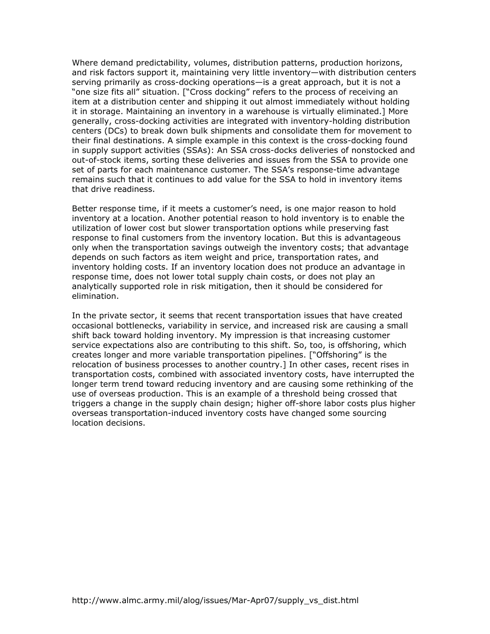Where demand predictability, volumes, distribution patterns, production horizons, and risk factors support it, maintaining very little inventory—with distribution centers serving primarily as cross-docking operations—is a great approach, but it is not a "one size fits all" situation. ["Cross docking" refers to the process of receiving an item at a distribution center and shipping it out almost immediately without holding it in storage. Maintaining an inventory in a warehouse is virtually eliminated.] More generally, cross-docking activities are integrated with inventory-holding distribution centers (DCs) to break down bulk shipments and consolidate them for movement to their final destinations. A simple example in this context is the cross-docking found in supply support activities (SSAs): An SSA cross-docks deliveries of nonstocked and out-of-stock items, sorting these deliveries and issues from the SSA to provide one set of parts for each maintenance customer. The SSA's response-time advantage remains such that it continues to add value for the SSA to hold in inventory items that drive readiness.

Better response time, if it meets a customer's need, is one major reason to hold inventory at a location. Another potential reason to hold inventory is to enable the utilization of lower cost but slower transportation options while preserving fast response to final customers from the inventory location. But this is advantageous only when the transportation savings outweigh the inventory costs; that advantage depends on such factors as item weight and price, transportation rates, and inventory holding costs. If an inventory location does not produce an advantage in response time, does not lower total supply chain costs, or does not play an analytically supported role in risk mitigation, then it should be considered for elimination.

In the private sector, it seems that recent transportation issues that have created occasional bottlenecks, variability in service, and increased risk are causing a small shift back toward holding inventory. My impression is that increasing customer service expectations also are contributing to this shift. So, too, is offshoring, which creates longer and more variable transportation pipelines. ["Offshoring" is the relocation of business processes to another country.] In other cases, recent rises in transportation costs, combined with associated inventory costs, have interrupted the longer term trend toward reducing inventory and are causing some rethinking of the use of overseas production. This is an example of a threshold being crossed that triggers a change in the supply chain design; higher off-shore labor costs plus higher overseas transportation-induced inventory costs have changed some sourcing location decisions.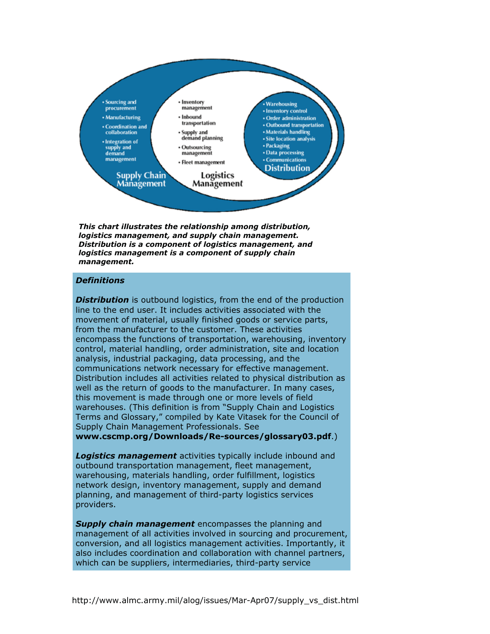

*This chart illustrates the relationship among distribution, logistics management, and supply chain management. Distribution is a component of logistics management, and logistics management is a component of supply chain management.*

#### *Definitions*

**Distribution** is outbound logistics, from the end of the production line to the end user. It includes activities associated with the movement of material, usually finished goods or service parts, from the manufacturer to the customer. These activities encompass the functions of transportation, warehousing, inventory control, material handling, order administration, site and location analysis, industrial packaging, data processing, and the communications network necessary for effective management. Distribution includes all activities related to physical distribution as well as the return of goods to the manufacturer. In many cases, this movement is made through one or more levels of field warehouses. (This definition is from "Supply Chain and Logistics Terms and Glossary," compiled by Kate Vitasek for the Council of Supply Chain Management Professionals. See **[www.cscmp.org/Downloads/Re-sources/glossary03.pdf](http://www.cscmp.org/Downloads/Re-sources/glossary03.pdf)**.)

*Logistics management* activities typically include inbound and outbound transportation management, fleet management, warehousing, materials handling, order fulfillment, logistics network design, inventory management, supply and demand planning, and management of third-party logistics services providers.

*Supply chain management* encompasses the planning and management of all activities involved in sourcing and procurement, conversion, and all logistics management activities. Importantly, it also includes coordination and collaboration with channel partners, which can be suppliers, intermediaries, third-party service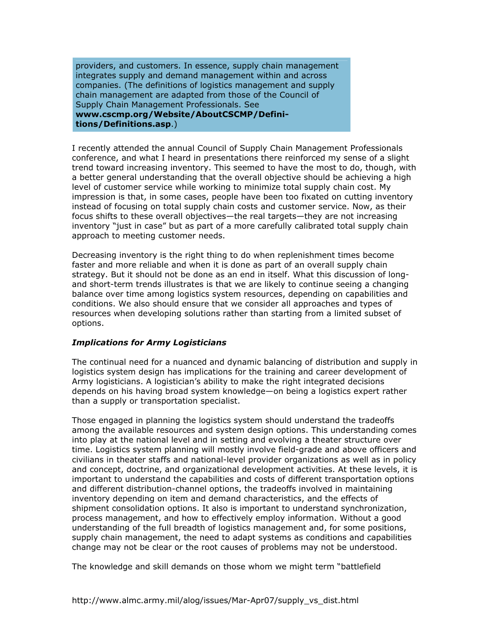providers, and customers. In essence, supply chain management integrates supply and demand management within and across companies. (The definitions of logistics management and supply chain management are adapted from those of the Council of Supply Chain Management Professionals. See **[www.cscmp.org/Website/AboutCSCMP/Defini](http://www.cscmp.org/Website/AboutCSCMP/Definitions/Definitions.asp)tions/Definitions.asp**.)

I recently attended the annual Council of Supply Chain Management Professionals conference, and what I heard in presentations there reinforced my sense of a slight trend toward increasing inventory. This seemed to have the most to do, though, with a better general understanding that the overall objective should be achieving a high level of customer service while working to minimize total supply chain cost. My impression is that, in some cases, people have been too fixated on cutting inventory instead of focusing on total supply chain costs and customer service. Now, as their focus shifts to these overall objectives—the real targets—they are not increasing inventory "just in case" but as part of a more carefully calibrated total supply chain approach to meeting customer needs.

Decreasing inventory is the right thing to do when replenishment times become faster and more reliable and when it is done as part of an overall supply chain strategy. But it should not be done as an end in itself. What this discussion of longand short-term trends illustrates is that we are likely to continue seeing a changing balance over time among logistics system resources, depending on capabilities and conditions. We also should ensure that we consider all approaches and types of resources when developing solutions rather than starting from a limited subset of options.

#### *Implications for Army Logisticians*

The continual need for a nuanced and dynamic balancing of distribution and supply in logistics system design has implications for the training and career development of Army logisticians. A logistician's ability to make the right integrated decisions depends on his having broad system knowledge—on being a logistics expert rather than a supply or transportation specialist.

Those engaged in planning the logistics system should understand the tradeoffs among the available resources and system design options. This understanding comes into play at the national level and in setting and evolving a theater structure over time. Logistics system planning will mostly involve field-grade and above officers and civilians in theater staffs and national-level provider organizations as well as in policy and concept, doctrine, and organizational development activities. At these levels, it is important to understand the capabilities and costs of different transportation options and different distribution-channel options, the tradeoffs involved in maintaining inventory depending on item and demand characteristics, and the effects of shipment consolidation options. It also is important to understand synchronization, process management, and how to effectively employ information. Without a good understanding of the full breadth of logistics management and, for some positions, supply chain management, the need to adapt systems as conditions and capabilities change may not be clear or the root causes of problems may not be understood.

The knowledge and skill demands on those whom we might term "battlefield